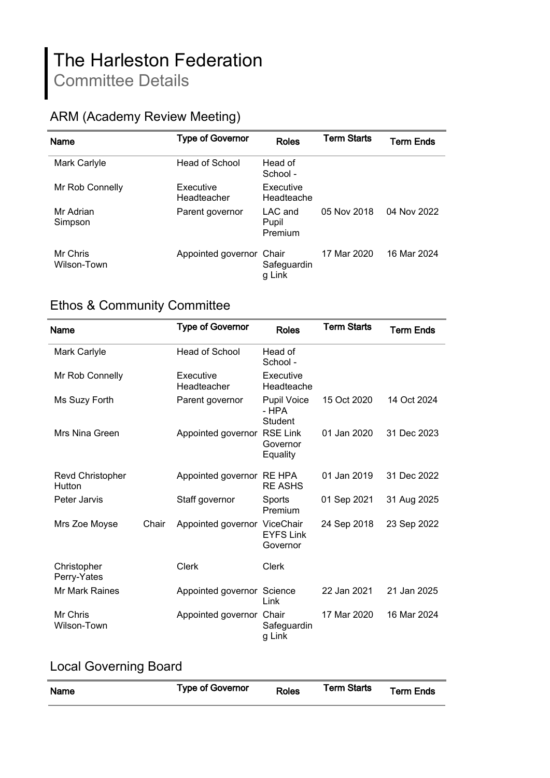# The Harleston Federation Committee Details

## ARM (Academy Review Meeting)

| <b>Name</b>             | <b>Type of Governor</b>  | <b>Roles</b>                | <b>Term Starts</b> | Term Ends   |
|-------------------------|--------------------------|-----------------------------|--------------------|-------------|
| Mark Carlyle            | Head of School           | Head of<br>School -         |                    |             |
| Mr Rob Connelly         | Executive<br>Headteacher | Executive<br>Headteache     |                    |             |
| Mr Adrian<br>Simpson    | Parent governor          | LAC and<br>Pupil<br>Premium | 05 Nov 2018        | 04 Nov 2022 |
| Mr Chris<br>Wilson-Town | Appointed governor Chair | Safeguardin<br>g Link       | 17 Mar 2020        | 16 Mar 2024 |

## Ethos & Community Committee

| Name                              |       | <b>Type of Governor</b>      | <b>Roles</b>                            | <b>Term Starts</b> | <b>Term Ends</b> |
|-----------------------------------|-------|------------------------------|-----------------------------------------|--------------------|------------------|
| Mark Carlyle                      |       | Head of School               | Head of<br>School -                     |                    |                  |
| Mr Rob Connelly                   |       | Executive<br>Headteacher     | Executive<br>Headteache                 |                    |                  |
| Ms Suzy Forth                     |       | Parent governor              | Pupil Voice<br>- HPA<br><b>Student</b>  | 15 Oct 2020        | 14 Oct 2024      |
| Mrs Nina Green                    |       | Appointed governor           | <b>RSE Link</b><br>Governor<br>Equality | 01 Jan 2020        | 31 Dec 2023      |
| <b>Revd Christopher</b><br>Hutton |       | Appointed governor RE HPA    | <b>RE ASHS</b>                          | 01 Jan 2019        | 31 Dec 2022      |
| Peter Jarvis                      |       | Staff governor               | Sports<br>Premium                       | 01 Sep 2021        | 31 Aug 2025      |
| Mrs Zoe Moyse                     | Chair | Appointed governor ViceChair | <b>EYFS Link</b><br>Governor            | 24 Sep 2018        | 23 Sep 2022      |
| Christopher<br>Perry-Yates        |       | Clerk                        | Clerk                                   |                    |                  |
| <b>Mr Mark Raines</b>             |       | Appointed governor Science   | Link                                    | 22 Jan 2021        | 21 Jan 2025      |
| Mr Chris<br>Wilson-Town           |       | Appointed governor Chair     | Safeguardin<br>g Link                   | 17 Mar 2020        | 16 Mar 2024      |

## Local Governing Board

| Name | <b>Type of Governor</b> | <b>Roles</b> | <b>Term Starts</b> | <b>Term Ends</b> |
|------|-------------------------|--------------|--------------------|------------------|
|      |                         |              |                    |                  |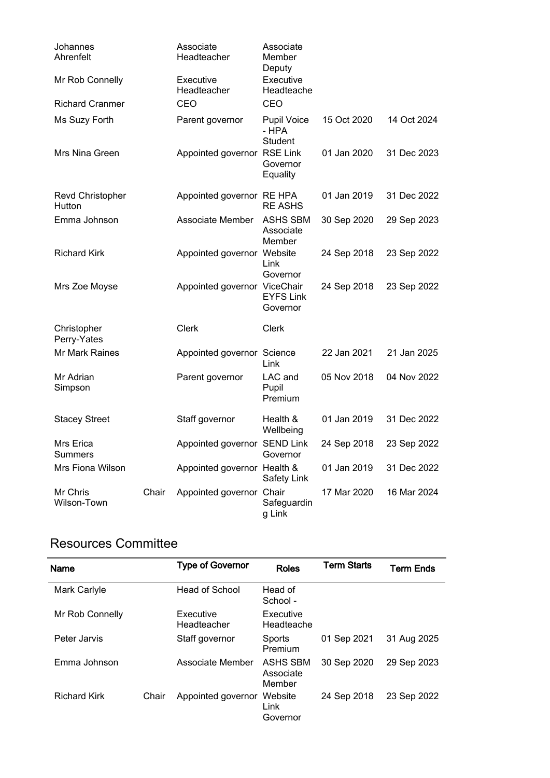| Johannes<br>Ahrenfelt       |       | Associate<br>Headteacher     | Associate<br>Member<br>Deputy          |             |             |
|-----------------------------|-------|------------------------------|----------------------------------------|-------------|-------------|
| Mr Rob Connelly             |       | Executive<br>Headteacher     | Executive<br>Headteache                |             |             |
| <b>Richard Cranmer</b>      |       | CEO                          | CEO                                    |             |             |
| Ms Suzy Forth               |       | Parent governor              | <b>Pupil Voice</b><br>- HPA<br>Student | 15 Oct 2020 | 14 Oct 2024 |
| Mrs Nina Green              |       | Appointed governor RSE Link  | Governor<br>Equality                   | 01 Jan 2020 | 31 Dec 2023 |
| Revd Christopher<br>Hutton  |       | Appointed governor RE HPA    | <b>RE ASHS</b>                         | 01 Jan 2019 | 31 Dec 2022 |
| Emma Johnson                |       | Associate Member             | <b>ASHS SBM</b><br>Associate<br>Member | 30 Sep 2020 | 29 Sep 2023 |
| <b>Richard Kirk</b>         |       | Appointed governor Website   | Link<br>Governor                       | 24 Sep 2018 | 23 Sep 2022 |
| Mrs Zoe Moyse               |       | Appointed governor ViceChair | <b>EYFS Link</b><br>Governor           | 24 Sep 2018 | 23 Sep 2022 |
| Christopher<br>Perry-Yates  |       | Clerk                        | Clerk                                  |             |             |
| Mr Mark Raines              |       | Appointed governor Science   | Link                                   | 22 Jan 2021 | 21 Jan 2025 |
| Mr Adrian<br>Simpson        |       | Parent governor              | LAC and<br>Pupil<br>Premium            | 05 Nov 2018 | 04 Nov 2022 |
| <b>Stacey Street</b>        |       | Staff governor               | Health &<br>Wellbeing                  | 01 Jan 2019 | 31 Dec 2022 |
| Mrs Erica<br><b>Summers</b> |       | Appointed governor SEND Link | Governor                               | 24 Sep 2018 | 23 Sep 2022 |
| Mrs Fiona Wilson            |       | Appointed governor Health &  | <b>Safety Link</b>                     | 01 Jan 2019 | 31 Dec 2022 |
| Mr Chris<br>Wilson-Town     | Chair | Appointed governor Chair     | Safeguardin<br>g Link                  | 17 Mar 2020 | 16 Mar 2024 |

#### Resources Committee

| <b>Name</b>         |       | <b>Type of Governor</b>  | <b>Roles</b>                    | <b>Term Starts</b> | <b>Term Ends</b> |
|---------------------|-------|--------------------------|---------------------------------|--------------------|------------------|
| Mark Carlyle        |       | Head of School           | Head of<br>School -             |                    |                  |
| Mr Rob Connelly     |       | Executive<br>Headteacher | Executive<br>Headteache         |                    |                  |
| Peter Jarvis        |       | Staff governor           | Sports<br>Premium               | 01 Sep 2021        | 31 Aug 2025      |
| Emma Johnson        |       | Associate Member         | ASHS SBM<br>Associate<br>Member | 30 Sep 2020        | 29 Sep 2023      |
| <b>Richard Kirk</b> | Chair | Appointed governor       | Website<br>Link<br>Governor     | 24 Sep 2018        | 23 Sep 2022      |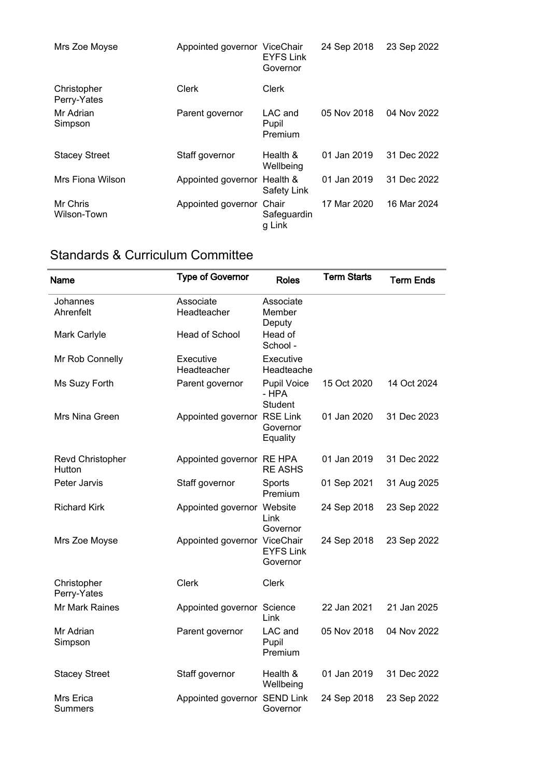| Mrs Zoe Moyse              | Appointed governor ViceChair | <b>EYFS Link</b><br>Governor  | 24 Sep 2018 | 23 Sep 2022 |
|----------------------------|------------------------------|-------------------------------|-------------|-------------|
| Christopher<br>Perry-Yates | Clerk                        | Clerk                         |             |             |
| Mr Adrian<br>Simpson       | Parent governor              | $LAC$ and<br>Pupil<br>Premium | 05 Nov 2018 | 04 Nov 2022 |
| <b>Stacey Street</b>       | Staff governor               | Health &<br>Wellbeing         | 01 Jan 2019 | 31 Dec 2022 |
| Mrs Fiona Wilson           | Appointed governor Health &  | Safety Link                   | 01 Jan 2019 | 31 Dec 2022 |
| Mr Chris<br>Wilson-Town    | Appointed governor Chair     | Safeguardin<br>g Link         | 17 Mar 2020 | 16 Mar 2024 |

## Standards & Curriculum Committee

| Name                        | <b>Type of Governor</b>      | <b>Roles</b>                    | <b>Term Starts</b> | <b>Term Ends</b> |
|-----------------------------|------------------------------|---------------------------------|--------------------|------------------|
| Johannes<br>Ahrenfelt       | Associate<br>Headteacher     | Associate<br>Member<br>Deputy   |                    |                  |
| Mark Carlyle                | Head of School               | Head of<br>School -             |                    |                  |
| Mr Rob Connelly             | Executive<br>Headteacher     | Executive<br>Headteache         |                    |                  |
| Ms Suzy Forth               | Parent governor              | Pupil Voice<br>- HPA<br>Student | 15 Oct 2020        | 14 Oct 2024      |
| Mrs Nina Green              | Appointed governor RSE Link  | Governor<br>Equality            | 01 Jan 2020        | 31 Dec 2023      |
| Revd Christopher<br>Hutton  | Appointed governor RE HPA    | <b>RE ASHS</b>                  | 01 Jan 2019        | 31 Dec 2022      |
| Peter Jarvis                | Staff governor               | Sports<br>Premium               | 01 Sep 2021        | 31 Aug 2025      |
| <b>Richard Kirk</b>         | Appointed governor Website   | Link<br>Governor                | 24 Sep 2018        | 23 Sep 2022      |
| Mrs Zoe Moyse               | Appointed governor ViceChair | <b>EYFS Link</b><br>Governor    | 24 Sep 2018        | 23 Sep 2022      |
| Christopher<br>Perry-Yates  | <b>Clerk</b>                 | <b>Clerk</b>                    |                    |                  |
| Mr Mark Raines              | Appointed governor Science   | Link                            | 22 Jan 2021        | 21 Jan 2025      |
| Mr Adrian<br>Simpson        | Parent governor              | LAC and<br>Pupil<br>Premium     | 05 Nov 2018        | 04 Nov 2022      |
| <b>Stacey Street</b>        | Staff governor               | Health &<br>Wellbeing           | 01 Jan 2019        | 31 Dec 2022      |
| Mrs Erica<br><b>Summers</b> | Appointed governor           | <b>SEND Link</b><br>Governor    | 24 Sep 2018        | 23 Sep 2022      |